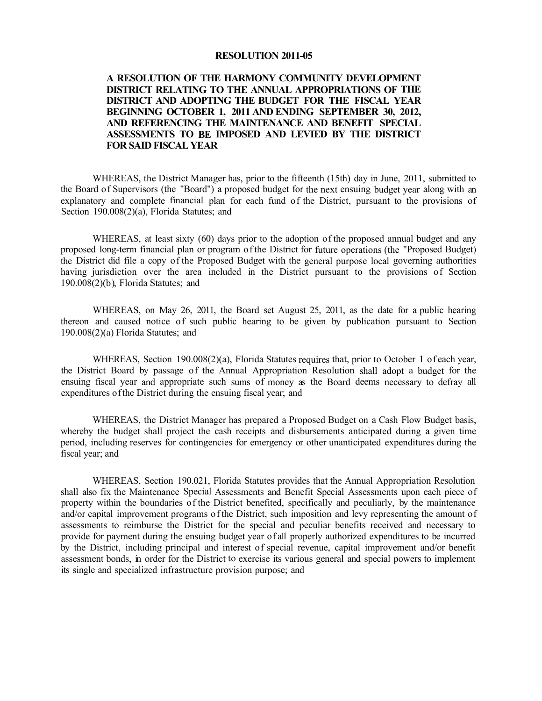### **RESOLUTION 2011-05**

# **A RESOLUTION OF THE HARMONY COMMUNITY DEVELOPMENT DISTRICT RELATING TO THE ANNUAL APPROPRIATIONS OF THE DISTRICT AND ADOPTING THE BUDGET FOR THE FISCAL YEAR BEGINNING OCTOBER 1, 2011 AND ENDING SEPTEMBER 30, 2012, AND REFERENCING THE MAINTENANCE AND BENEFIT SPECIAL ASSESSMENTS TO BE IMPOSED AND LEVIED BY THE DISTRICT FOR SAID FISCAL YEAR**

WHEREAS, the District Manager has, prior to the fifteenth (15th) day in June, 2011, submitted to the Board of Supervisors (the "Board") a proposed budget for the next ensuing budget year along with an explanatory and complete financial plan for each fund of the District, pursuant to the provisions of Section 190.008(2)(a), Florida Statutes; and

WHEREAS, at least sixty (60) days prior to the adoption of the proposed annual budget and any proposed long-term financial plan or program ofthe District for future operations (the "Proposed Budget) the District did file a copy of the Proposed Budget with the general purpose local governing authorities having jurisdiction over the area included in the District pursuant to the provisions of Section 190.008(2)(b), Florida Statutes; and

WHEREAS, on May 26, 2011, the Board set August 25, 2011, as the date for a public hearing thereon and caused notice of such public hearing to be given by publication pursuant to Section 190.008(2)(a) Florida Statutes; and

WHEREAS, Section 190.008(2)(a), Florida Statutes requires that, prior to October 1 of each year, the District Board by passage of the Annual Appropriation Resolution shall adopt a budget for the ensuing fiscal year and appropriate such sums of money as the Board deems necessary to defray all expenditures ofthe District during the ensuing fiscal year; and

WHEREAS, the District Manager has prepared a Proposed Budget on a Cash Flow Budget basis, whereby the budget shall project the cash receipts and disbursements anticipated during a given time period, including reserves for contingencies for emergency or other unanticipated expenditures during the fiscal year; and

WHEREAS, Section 190.021, Florida Statutes provides that the Annual Appropriation Resolution shall also fix the Maintenance Special Assessments and Benefit Special Assessments upon each piece of property within the boundaries of the District benefited, specifically and peculiarly, by the maintenance and/or capital improvement programs of the District, such imposition and levy representing the amount of assessments to reimburse the District for the special and peculiar benefits received and necessary to provide for payment during the ensuing budget year of all properly authorized expenditures to be incurred by the District, including principal and interest of special revenue, capital improvement and/or benefit assessment bonds, in order for the District to exercise its various general and special powers to implement its single and specialized infrastructure provision purpose; and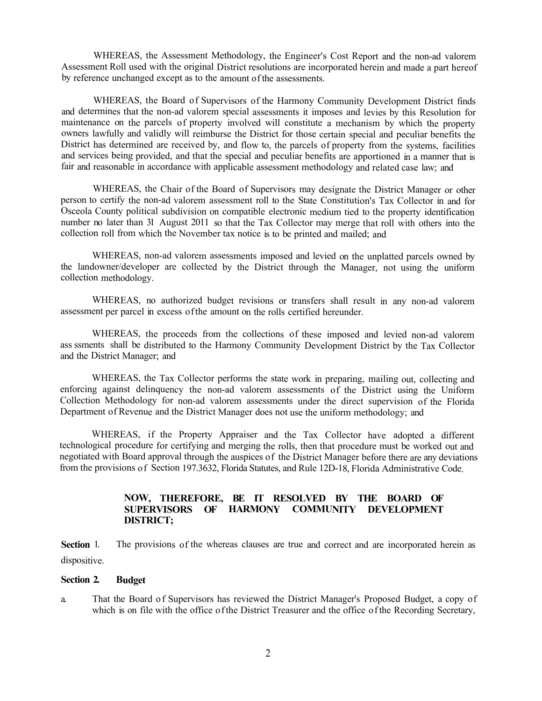WHEREAS, the Assessment Methodology, the Engineer's Cost Report and the non-ad valorem Assessment Roll used with the original District resolutions are incorporated herein and made a part hereof by reference unchanged except as to the amount of the assessments.

WHEREAS, the Board of Supervisors of the Harmony Community Development District finds and determines that the non-ad valorem special assessments it imposes and levies by this Resolution for maintenance on the parcels of property involved will constitute a mechanism by which the property owners lawfully and validly will reimburse the District for those certain special and peculiar benefits the District has determined are received by, and flow to, the parcels of property from the systems, facilities and services being provided, and that the special and peculiar benefits are apportioned in a manner that is fair and reasonable in accordance with applicable assessment methodology and related case law; and

WHEREAS, the Chair of the Board of Supervisors may designate the District Manager or other person to certify the non-ad valorem assessment roll to the State Constitution's Tax Collector in and for Osceola County political subdivision on compatible electronic medium tied to the property identification number no later than 31 August 2011 so that the Tax Collector may merge that roll with others into the collection roll from which the November tax notice is to be printed and mailed; and

WHEREAS, non-ad valorem assessments imposed and levied on the unplatted parcels owned by the landowner/developer are collected by the District through the Manager, not using the uniform collection methodology.

WHEREAS, no authorized budget revisions or transfers shall result in any non-ad valorem assessment per parcel in excess of the amount on the rolls certified hereunder.

WHEREAS, the proceeds from the collections of these imposed and levied non-ad valorem ass ssments shall be distributed to the Harmony Community Development District by the Tax Collector and the District Manager; and

WHEREAS, the Tax Collector performs the state work in preparing, mailing out, collecting and enforcing against delinquency the non-ad valorem assessments of the District using the Uniform Collection Methodology for non-ad valorem assessments under the direct supervision of the Florida Department of Revenue and the District Manager does not use the uniform methodology; and

WHEREAS, if the Property Appraiser and the Tax Collector have adopted a different technological procedure for certifying and merging the rolls, then that procedure must be worked out and negotiated with Board approval through the auspices of the District Manager before there are any deviations from the provisions of Section 197.3632, Florida Statutes, and Rule 12D-18, Florida Administrative Code.

# **NOW, THEREFORE, BE IT RESOLVED BY THE BOARD OF SUPERVISORS OF HARMONY COMMUNITY DEVELOPMENT DISTRICT;**

**Section** 1. dispositive. The provisions of the whereas clauses are true and correct and are incorporated herein as

#### **Section 2. Budget**

a. That the Board of Supervisors has reviewed the District Manager's Proposed Budget, a copy of which is on file with the office of the District Treasurer and the office of the Recording Secretary,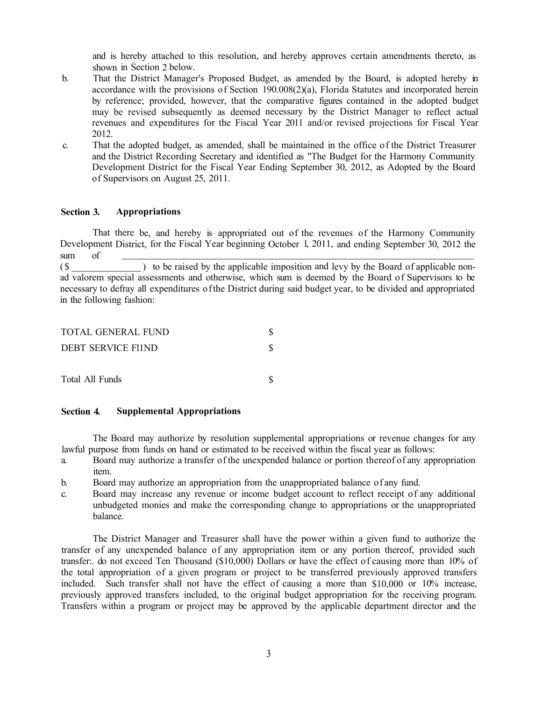and is hereby attached to this resolution, and hereby approves certain amendments thereto, as shown in Section 2 below.

- b. That the District Manager's Proposed Budget, as amended by the Board, is adopted hereby in accordance with the provisions of Section 190.008(2)(a), Florida Statutes and incorporated herein by reference; provided, however, that the comparative figures contained in the adopted budget may be revised subsequently as deemed necessary by the District Manager to reflect actual revenues and expenditures for the Fiscal Year 2011 and/or revised projections for Fiscal Year 2012.
- c. That the adopted budget, as amended, shall be maintained in the office of the District Treasurer and the District Recording Secretary and identified as "The Budget for the Harmony Community Development District for the Fiscal Year Ending September 30, 2012, as Adopted by the Board of Supervisors on August 25, 2011.

## **Section 3. Appropriations**

That there be, and hereby is appropriated out of the revenues of the Harmony Community Development District, for the Fiscal Year beginning October 1, 2011, and ending September 30, 2012 the sum of

(\$) to be raised by the applicable imposition and levy by the Board of applicable nonad valorem special assessments and otherwise, which sum is deemed by the Board of Supervisors to be necessary to defray all expenditures of the District during said budget year, to be divided and appropriated in the following fashion:

| TOTAL GENERAL FUND |  |
|--------------------|--|
| DEBT SERVICE FI1ND |  |
| Total All Funds    |  |

## **Section 4. Supplemental Appropriations**

The Board may authorize by resolution supplemental appropriations or revenue changes for any lawful purpose from funds on hand or estimated to be received within the fiscal year as follows:

- a. Board may authorize a transfer of the unexpended balance or portion thereof of any appropriation item.
- b. Board may authorize an appropriation from the unappropriated balance of any fund.
- c. Board may increase any revenue or income budget account to reflect receipt of any additional unbudgeted monies and make the corresponding change to appropriations or the unappropriated balance.

The District Manager and Treasurer shall have the power within a given fund to authorize the transfer of any unexpended balance of any appropriation item or any portion thereof, provided such transfer:. do not exceed Ten Thousand (\$10,000) Dollars or have the effect of causing more than 10% of the total appropriation of a given program or project to be transferred previously approved transfers included. Such transfer shall not have the effect of causing a more than \$10,000 or 10% increase, previously approved transfers included, to the original budget appropriation for the receiving program. Transfers within a program or project may be approved by the applicable department director and the